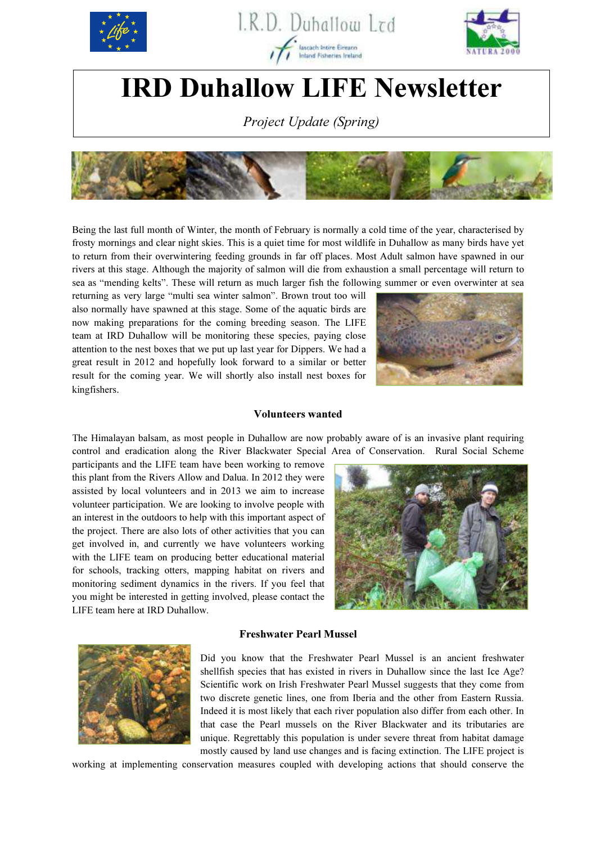

 $\mathsf{I}$ 





# IRD Duhallow LIFE Newsletter

Project Update (Spring)



Being the last full month of Winter, the month of February is normally a cold time of the year, characterised by frosty mornings and clear night skies. This is a quiet time for most wildlife in Duhallow as many birds have yet to return from their overwintering feeding grounds in far off places. Most Adult salmon have spawned in our rivers at this stage. Although the majority of salmon will die from exhaustion a small percentage will return to sea as "mending kelts". These will return as much larger fish the following summer or even overwinter at sea

returning as very large "multi sea winter salmon". Brown trout too will also normally have spawned at this stage. Some of the aquatic birds are now making preparations for the coming breeding season. The LIFE team at IRD Duhallow will be monitoring these species, paying close attention to the nest boxes that we put up last year for Dippers. We had a great result in 2012 and hopefully look forward to a similar or better result for the coming year. We will shortly also install nest boxes for kingfishers.



#### Volunteers wanted

The Himalayan balsam, as most people in Duhallow are now probably aware of is an invasive plant requiring control and eradication along the River Blackwater Special Area of Conservation. Rural Social Scheme

participants and the LIFE team have been working to remove this plant from the Rivers Allow and Dalua. In 2012 they were assisted by local volunteers and in 2013 we aim to increase volunteer participation. We are looking to involve people with an interest in the outdoors to help with this important aspect of the project. There are also lots of other activities that you can get involved in, and currently we have volunteers working with the LIFE team on producing better educational material for schools, tracking otters, mapping habitat on rivers and monitoring sediment dynamics in the rivers. If you feel that you might be interested in getting involved, please contact the LIFE team here at IRD Duhallow.



## Freshwater Pearl Mussel



Did you know that the Freshwater Pearl Mussel is an ancient freshwater shellfish species that has existed in rivers in Duhallow since the last Ice Age? Scientific work on Irish Freshwater Pearl Mussel suggests that they come from two discrete genetic lines, one from Iberia and the other from Eastern Russia. Indeed it is most likely that each river population also differ from each other. In that case the Pearl mussels on the River Blackwater and its tributaries are unique. Regrettably this population is under severe threat from habitat damage mostly caused by land use changes and is facing extinction. The LIFE project is

working at implementing conservation measures coupled with developing actions that should conserve the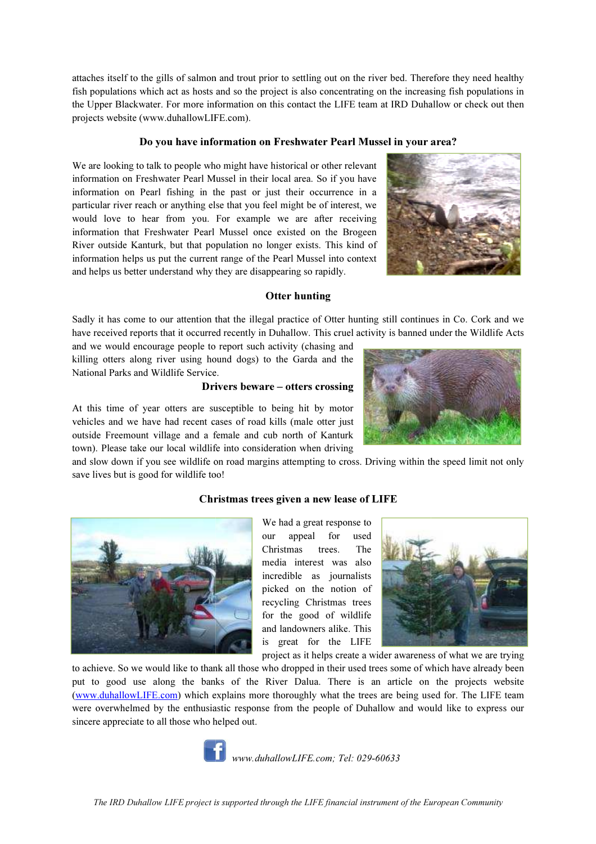attaches itself to the gills of salmon and trout prior to settling out on the river bed. Therefore they need healthy fish populations which act as hosts and so the project is also concentrating on the increasing fish populations in the Upper Blackwater. For more information on this contact the LIFE team at IRD Duhallow or check out then projects website (www.duhallowLIFE.com).

# Do you have information on Fresh Freshwater Pearl Mussel in your area?

We are looking to talk to people who might have historical or other relevant information on Freshwater Pearl Mussel Mussel in their local area. So if you have information on Pearl fishing in the past or just their occurrence in a particular river reach or anything else that you feel might be of interest, we would love to hear from you. For example we are after receiving information that Freshwater Pearl Mussel once existed on the Brogeen particular river reach or anything else that you feel might be of interest, we would love to hear from you. For example we are after receiving information that Freshwater Pearl Mussel once existed on the Brogeen River outs information helps us put the current range of the Pearl Mussel into context and helps us better understand why they are disappearing so rapidly.



## Otter hunting

Sadly it has come to our attention that the illegal practice of Otter hunting still continues in Co. Cork and we have received reports that it occurred recently in Duhallow. This cruel activity is banned under the Wildlife Acts

and we would encourage people to report such activity (chasing and killing otters along river using hound dogs) to the Garda Garda and the National Parks and Wildlife Service.

## Drivers be beware – otters crossing

At this time of year otters are susceptible to being hit by motor vehicles and we have had recent cases of road kills (male otter just outside Freemount village and a female and cub north of Kanturk town). Please take our local wildlife into consideration when driving

and slow down if you see wildlife on road margins attempting to cross. Driving within the speed limit not only save lives but is good for wildlife too! . Please take our local wildlife into consideration when driving<br>ow down if you see wildlife on road margins attempting to cross. Dr<br>ives but is good for wildlife too!<br>**Christmas trees given a new lease of** l



## Christmas trees given a new lease of LIFE

our appeal for used Christmas trees. The media interest was also incredible as journalists picked on the notion of recycling Christmas trees for the good of wildlife and landowners alike. This is great for the LIFE



project as it helps create a wider awareness of what we are trying

to achieve. So we would like to thank all those who dropped in their used trees some of which have already been put to good use along the banks of the River Dalua. There is an article on the projects website (www.duhallowLIFE.com) which explains more thoroughly what the trees are being used for. were overwhelmed by the enthusiast ic sincere appreciate to all those who helped out. ng the banks of the River Dalua. There is an article on the projects website om) which explains more thoroughly what the trees are being used for. The LIFE team the enthusiastic response from the people of Duhallow and wou for. The LIFE team



www.duhallowLIFE.com; Tel: 029-60633